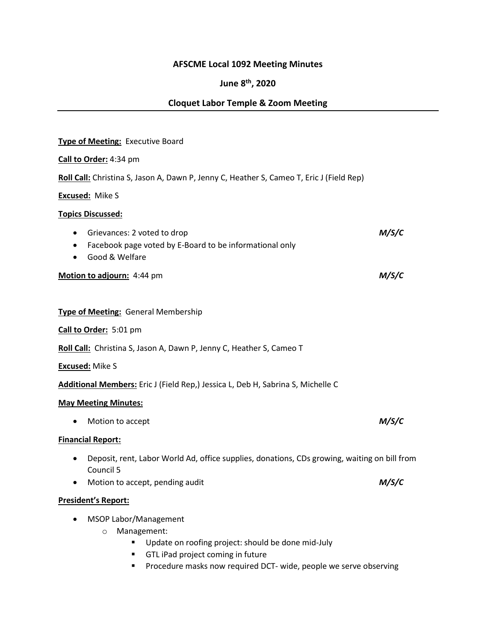# **AFSCME Local 1092 Meeting Minutes**

# **June 8th, 2020**

# **Cloquet Labor Temple & Zoom Meeting**

| Type of Meeting: Executive Board                                                                                                                       |       |
|--------------------------------------------------------------------------------------------------------------------------------------------------------|-------|
| Call to Order: 4:34 pm                                                                                                                                 |       |
| Roll Call: Christina S, Jason A, Dawn P, Jenny C, Heather S, Cameo T, Eric J (Field Rep)                                                               |       |
| <b>Excused: Mike S</b>                                                                                                                                 |       |
| <b>Topics Discussed:</b>                                                                                                                               |       |
| Grievances: 2 voted to drop<br>$\bullet$<br>Facebook page voted by E-Board to be informational only<br>Good & Welfare                                  | M/S/C |
| Motion to adjourn: 4:44 pm                                                                                                                             | M/S/C |
| <b>Type of Meeting: General Membership</b><br>Call to Order: 5:01 pm                                                                                   |       |
|                                                                                                                                                        |       |
| Roll Call: Christina S, Jason A, Dawn P, Jenny C, Heather S, Cameo T                                                                                   |       |
| <b>Excused: Mike S</b>                                                                                                                                 |       |
| Additional Members: Eric J (Field Rep,) Jessica L, Deb H, Sabrina S, Michelle C                                                                        |       |
| <b>May Meeting Minutes:</b>                                                                                                                            |       |
| Motion to accept                                                                                                                                       | M/S/C |
| <b>Financial Report:</b>                                                                                                                               |       |
| Deposit, rent, Labor World Ad, office supplies, donations, CDs growing, waiting on bill from<br>Council 5                                              |       |
| Motion to accept, pending audit                                                                                                                        | M/S/C |
| <b>President's Report:</b>                                                                                                                             |       |
| <b>MSOP Labor/Management</b><br>Management:<br>$\circ$<br>Update on roofing project: should be done mid-July<br>GTL iPad project coming in future<br>٠ |       |

**Procedure masks now required DCT- wide, people we serve observing**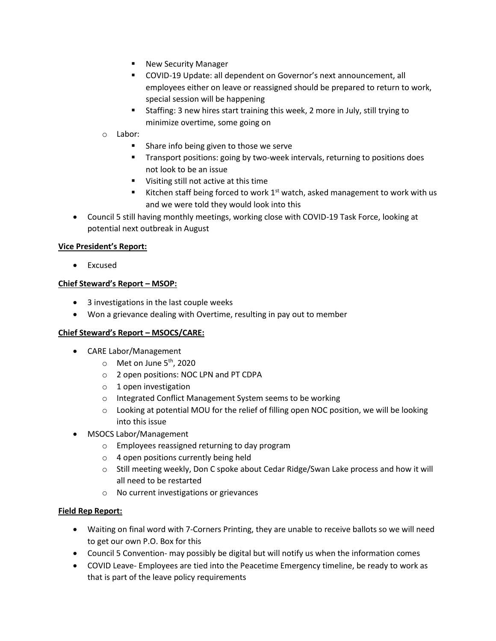- **New Security Manager**
- COVID-19 Update: all dependent on Governor's next announcement, all employees either on leave or reassigned should be prepared to return to work, special session will be happening
- Staffing: 3 new hires start training this week, 2 more in July, still trying to minimize overtime, some going on
- o Labor:
	- **Share info being given to those we serve**
	- Transport positions: going by two-week intervals, returning to positions does not look to be an issue
	- **Visiting still not active at this time**
	- Kitchen staff being forced to work  $1<sup>st</sup>$  watch, asked management to work with us and we were told they would look into this
- Council 5 still having monthly meetings, working close with COVID-19 Task Force, looking at potential next outbreak in August

#### **Vice President's Report:**

• Excused

#### **Chief Steward's Report – MSOP:**

- 3 investigations in the last couple weeks
- Won a grievance dealing with Overtime, resulting in pay out to member

#### **Chief Steward's Report – MSOCS/CARE:**

- CARE Labor/Management
	- $\circ$  Met on June 5<sup>th</sup>, 2020
	- o 2 open positions: NOC LPN and PT CDPA
	- o 1 open investigation
	- o Integrated Conflict Management System seems to be working
	- $\circ$  Looking at potential MOU for the relief of filling open NOC position, we will be looking into this issue
- MSOCS Labor/Management
	- o Employees reassigned returning to day program
	- o 4 open positions currently being held
	- o Still meeting weekly, Don C spoke about Cedar Ridge/Swan Lake process and how it will all need to be restarted
	- o No current investigations or grievances

#### **Field Rep Report:**

- Waiting on final word with 7-Corners Printing, they are unable to receive ballots so we will need to get our own P.O. Box for this
- Council 5 Convention- may possibly be digital but will notify us when the information comes
- COVID Leave- Employees are tied into the Peacetime Emergency timeline, be ready to work as that is part of the leave policy requirements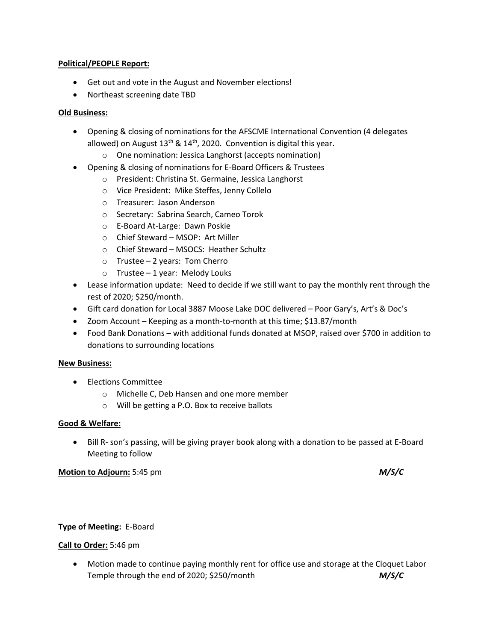#### **Political/PEOPLE Report:**

- Get out and vote in the August and November elections!
- Northeast screening date TBD

# **Old Business:**

- Opening & closing of nominations for the AFSCME International Convention (4 delegates allowed) on August  $13<sup>th</sup>$  &  $14<sup>th</sup>$ , 2020. Convention is digital this year.
	- o One nomination: Jessica Langhorst (accepts nomination)
- Opening & closing of nominations for E-Board Officers & Trustees
	- o President: Christina St. Germaine, Jessica Langhorst
	- o Vice President: Mike Steffes, Jenny Collelo
	- o Treasurer: Jason Anderson
	- o Secretary: Sabrina Search, Cameo Torok
	- o E-Board At-Large: Dawn Poskie
	- o Chief Steward MSOP: Art Miller
	- o Chief Steward MSOCS: Heather Schultz
	- o Trustee 2 years: Tom Cherro
	- $\circ$  Trustee 1 year: Melody Louks
- Lease information update: Need to decide if we still want to pay the monthly rent through the rest of 2020; \$250/month.
- Gift card donation for Local 3887 Moose Lake DOC delivered Poor Gary's, Art's & Doc's
- Zoom Account Keeping as a month-to-month at this time; \$13.87/month
- Food Bank Donations with additional funds donated at MSOP, raised over \$700 in addition to donations to surrounding locations

# **New Business:**

- Elections Committee
	- o Michelle C, Deb Hansen and one more member
	- o Will be getting a P.O. Box to receive ballots

#### **Good & Welfare:**

• Bill R- son's passing, will be giving prayer book along with a donation to be passed at E-Board Meeting to follow

#### **Motion to Adjourn:** 5:45 pm *M/S/C*

# **Type of Meeting:** E-Board

# **Call to Order:** 5:46 pm

 Motion made to continue paying monthly rent for office use and storage at the Cloquet Labor Temple through the end of 2020; \$250/month *M/S/C*